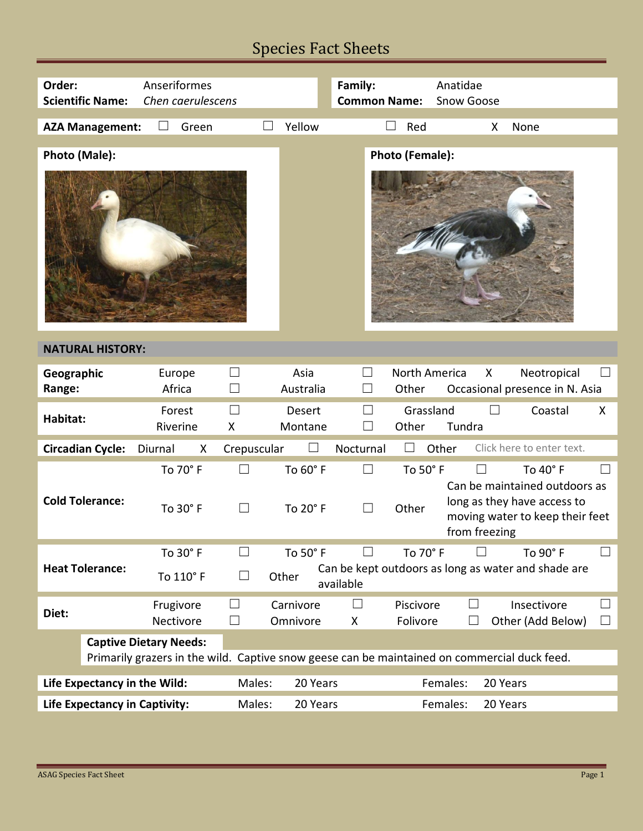# Species Fact Sheets

| Order:<br><b>Scientific Name:</b>                                                            | Anseriformes         | Chen caerulescens                                                              |                          |                   | Family:<br>Anatidae<br><b>Common Name:</b><br>Snow Goose |                                                                                                                  |                           |                   |
|----------------------------------------------------------------------------------------------|----------------------|--------------------------------------------------------------------------------|--------------------------|-------------------|----------------------------------------------------------|------------------------------------------------------------------------------------------------------------------|---------------------------|-------------------|
| <b>AZA Management:</b>                                                                       | Green                |                                                                                | Yellow                   |                   | Red                                                      | X                                                                                                                | None                      |                   |
| Photo (Male):                                                                                |                      |                                                                                |                          |                   | Photo (Female):                                          |                                                                                                                  |                           |                   |
| <b>NATURAL HISTORY:</b>                                                                      |                      |                                                                                |                          |                   |                                                          |                                                                                                                  |                           |                   |
| Geographic<br>Range:                                                                         | Europe<br>Africa     | ⊔                                                                              | Asia<br>Australia        | $\vert \ \ \vert$ | North America<br>Other                                   | X<br>Occasional presence in N. Asia                                                                              | Neotropical               |                   |
| Habitat:                                                                                     | Forest<br>Riverine   | П<br>X                                                                         | <b>Desert</b><br>Montane |                   | Grassland<br>Other                                       | Tundra                                                                                                           | Coastal                   | X                 |
| <b>Circadian Cycle:</b>                                                                      | Diurnal<br>X         | Crepuscular                                                                    |                          | Nocturnal         |                                                          | Other                                                                                                            | Click here to enter text. |                   |
| <b>Cold Tolerance:</b>                                                                       | To 70° F<br>To 30° F | ⊔<br>$\perp$                                                                   | To 60° F<br>To 20° F     | $\perp$           | To 50° F<br>Other                                        | Can be maintained outdoors as<br>long as they have access to<br>moving water to keep their feet<br>from freezing | To 40° F                  |                   |
|                                                                                              | To 30° F             |                                                                                | To 50° F                 |                   | To 70° F                                                 |                                                                                                                  | To 90° F                  | $\perp$           |
| <b>Heat Tolerance:</b>                                                                       | To 110° F            | Can be kept outdoors as long as water and shade are<br>⊔<br>Other<br>available |                          |                   |                                                          |                                                                                                                  |                           |                   |
| Diet:                                                                                        | Frugivore            | ⊔                                                                              | Carnivore                | $\Box$            | Piscivore                                                | $\vert \ \ \vert$                                                                                                | Insectivore               | $\Box$            |
|                                                                                              | Nectivore            | $\Box$                                                                         | Omnivore                 | X                 | Folivore                                                 |                                                                                                                  | Other (Add Below)         | $\vert \ \ \vert$ |
| <b>Captive Dietary Needs:</b>                                                                |                      |                                                                                |                          |                   |                                                          |                                                                                                                  |                           |                   |
| Primarily grazers in the wild. Captive snow geese can be maintained on commercial duck feed. |                      |                                                                                |                          |                   |                                                          |                                                                                                                  |                           |                   |
| Life Expectancy in the Wild:                                                                 | Males:               | 20 Years<br>Females:<br>20 Years                                               |                          |                   |                                                          |                                                                                                                  |                           |                   |
|                                                                                              |                      |                                                                                |                          |                   |                                                          |                                                                                                                  |                           |                   |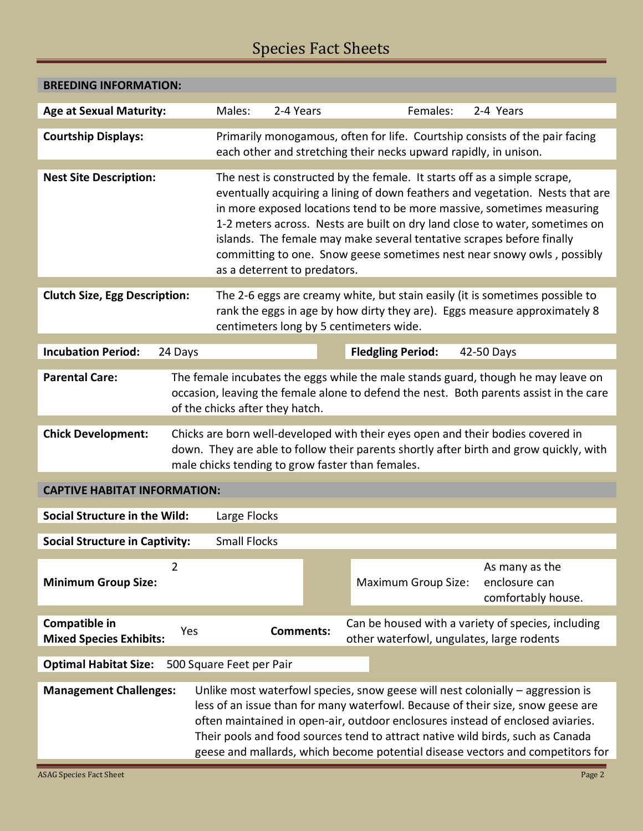# Species Fact Sheets

| <b>BREEDING INFORMATION:</b>                                                                                                                                                                                                                                                                                                                                                                                                                             |                                                                                                                                                                                                                                                                                                                                                                                                                                                                                                       |                                                                                                 |  |  |  |  |  |
|----------------------------------------------------------------------------------------------------------------------------------------------------------------------------------------------------------------------------------------------------------------------------------------------------------------------------------------------------------------------------------------------------------------------------------------------------------|-------------------------------------------------------------------------------------------------------------------------------------------------------------------------------------------------------------------------------------------------------------------------------------------------------------------------------------------------------------------------------------------------------------------------------------------------------------------------------------------------------|-------------------------------------------------------------------------------------------------|--|--|--|--|--|
| <b>Age at Sexual Maturity:</b>                                                                                                                                                                                                                                                                                                                                                                                                                           | 2-4 Years<br>Males:                                                                                                                                                                                                                                                                                                                                                                                                                                                                                   | Females:<br>2-4 Years                                                                           |  |  |  |  |  |
| <b>Courtship Displays:</b>                                                                                                                                                                                                                                                                                                                                                                                                                               | Primarily monogamous, often for life. Courtship consists of the pair facing<br>each other and stretching their necks upward rapidly, in unison.                                                                                                                                                                                                                                                                                                                                                       |                                                                                                 |  |  |  |  |  |
| <b>Nest Site Description:</b>                                                                                                                                                                                                                                                                                                                                                                                                                            | The nest is constructed by the female. It starts off as a simple scrape,<br>eventually acquiring a lining of down feathers and vegetation. Nests that are<br>in more exposed locations tend to be more massive, sometimes measuring<br>1-2 meters across. Nests are built on dry land close to water, sometimes on<br>islands. The female may make several tentative scrapes before finally<br>committing to one. Snow geese sometimes nest near snowy owls, possibly<br>as a deterrent to predators. |                                                                                                 |  |  |  |  |  |
| <b>Clutch Size, Egg Description:</b>                                                                                                                                                                                                                                                                                                                                                                                                                     | The 2-6 eggs are creamy white, but stain easily (it is sometimes possible to<br>rank the eggs in age by how dirty they are). Eggs measure approximately 8<br>centimeters long by 5 centimeters wide.                                                                                                                                                                                                                                                                                                  |                                                                                                 |  |  |  |  |  |
| <b>Incubation Period:</b><br>24 Days                                                                                                                                                                                                                                                                                                                                                                                                                     |                                                                                                                                                                                                                                                                                                                                                                                                                                                                                                       | <b>Fledgling Period:</b><br>42-50 Days                                                          |  |  |  |  |  |
| <b>Parental Care:</b><br>The female incubates the eggs while the male stands guard, though he may leave on<br>occasion, leaving the female alone to defend the nest. Both parents assist in the care<br>of the chicks after they hatch.                                                                                                                                                                                                                  |                                                                                                                                                                                                                                                                                                                                                                                                                                                                                                       |                                                                                                 |  |  |  |  |  |
| Chicks are born well-developed with their eyes open and their bodies covered in<br><b>Chick Development:</b><br>down. They are able to follow their parents shortly after birth and grow quickly, with<br>male chicks tending to grow faster than females.                                                                                                                                                                                               |                                                                                                                                                                                                                                                                                                                                                                                                                                                                                                       |                                                                                                 |  |  |  |  |  |
| <b>CAPTIVE HABITAT INFORMATION:</b>                                                                                                                                                                                                                                                                                                                                                                                                                      |                                                                                                                                                                                                                                                                                                                                                                                                                                                                                                       |                                                                                                 |  |  |  |  |  |
| <b>Social Structure in the Wild:</b><br>Large Flocks                                                                                                                                                                                                                                                                                                                                                                                                     |                                                                                                                                                                                                                                                                                                                                                                                                                                                                                                       |                                                                                                 |  |  |  |  |  |
| <b>Social Structure in Captivity:</b><br><b>Small Flocks</b>                                                                                                                                                                                                                                                                                                                                                                                             |                                                                                                                                                                                                                                                                                                                                                                                                                                                                                                       |                                                                                                 |  |  |  |  |  |
| 2<br><b>Minimum Group Size:</b>                                                                                                                                                                                                                                                                                                                                                                                                                          |                                                                                                                                                                                                                                                                                                                                                                                                                                                                                                       | As many as the<br>enclosure can<br><b>Maximum Group Size:</b><br>comfortably house.             |  |  |  |  |  |
| Compatible in<br>Yes<br><b>Mixed Species Exhibits:</b>                                                                                                                                                                                                                                                                                                                                                                                                   | <b>Comments:</b>                                                                                                                                                                                                                                                                                                                                                                                                                                                                                      | Can be housed with a variety of species, including<br>other waterfowl, ungulates, large rodents |  |  |  |  |  |
| <b>Optimal Habitat Size:</b><br>500 Square Feet per Pair                                                                                                                                                                                                                                                                                                                                                                                                 |                                                                                                                                                                                                                                                                                                                                                                                                                                                                                                       |                                                                                                 |  |  |  |  |  |
| Unlike most waterfowl species, snow geese will nest colonially - aggression is<br><b>Management Challenges:</b><br>less of an issue than for many waterfowl. Because of their size, snow geese are<br>often maintained in open-air, outdoor enclosures instead of enclosed aviaries.<br>Their pools and food sources tend to attract native wild birds, such as Canada<br>geese and mallards, which become potential disease vectors and competitors for |                                                                                                                                                                                                                                                                                                                                                                                                                                                                                                       |                                                                                                 |  |  |  |  |  |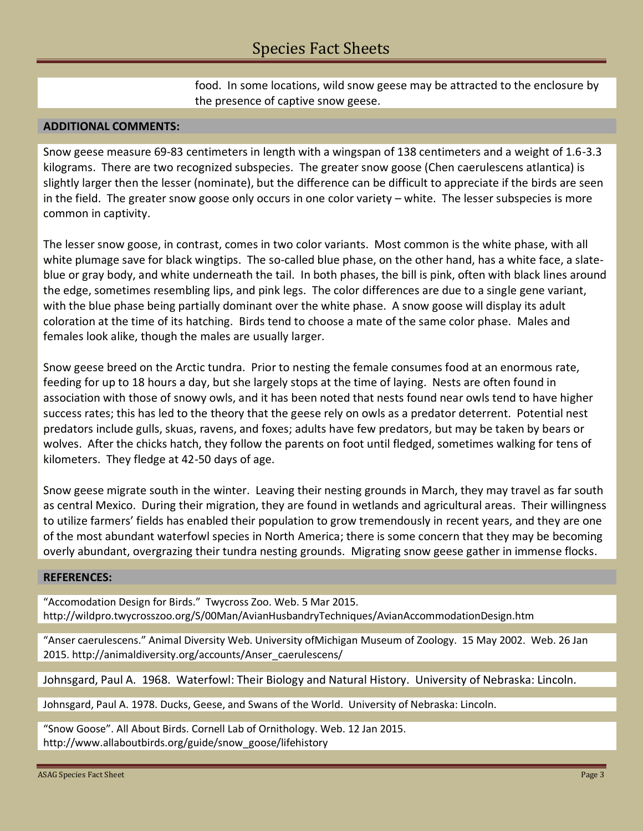food. In some locations, wild snow geese may be attracted to the enclosure by the presence of captive snow geese.

### **ADDITIONAL COMMENTS:**

Snow geese measure 69-83 centimeters in length with a wingspan of 138 centimeters and a weight of 1.6-3.3 kilograms. There are two recognized subspecies. The greater snow goose (Chen caerulescens atlantica) is slightly larger then the lesser (nominate), but the difference can be difficult to appreciate if the birds are seen in the field. The greater snow goose only occurs in one color variety – white. The lesser subspecies is more common in captivity.

The lesser snow goose, in contrast, comes in two color variants. Most common is the white phase, with all white plumage save for black wingtips. The so-called blue phase, on the other hand, has a white face, a slateblue or gray body, and white underneath the tail. In both phases, the bill is pink, often with black lines around the edge, sometimes resembling lips, and pink legs. The color differences are due to a single gene variant, with the blue phase being partially dominant over the white phase. A snow goose will display its adult coloration at the time of its hatching. Birds tend to choose a mate of the same color phase. Males and females look alike, though the males are usually larger.

Snow geese breed on the Arctic tundra. Prior to nesting the female consumes food at an enormous rate, feeding for up to 18 hours a day, but she largely stops at the time of laying. Nests are often found in association with those of snowy owls, and it has been noted that nests found near owls tend to have higher success rates; this has led to the theory that the geese rely on owls as a predator deterrent. Potential nest predators include gulls, skuas, ravens, and foxes; adults have few predators, but may be taken by bears or wolves. After the chicks hatch, they follow the parents on foot until fledged, sometimes walking for tens of kilometers. They fledge at 42-50 days of age.

Snow geese migrate south in the winter. Leaving their nesting grounds in March, they may travel as far south as central Mexico. During their migration, they are found in wetlands and agricultural areas. Their willingness to utilize farmers' fields has enabled their population to grow tremendously in recent years, and they are one of the most abundant waterfowl species in North America; there is some concern that they may be becoming overly abundant, overgrazing their tundra nesting grounds. Migrating snow geese gather in immense flocks.

#### **REFERENCES:**

"Accomodation Design for Birds." Twycross Zoo. Web. 5 Mar 2015. http://wildpro.twycrosszoo.org/S/00Man/AvianHusbandryTechniques/AvianAccommodationDesign.htm

"Anser caerulescens." Animal Diversity Web. University ofMichigan Museum of Zoology. 15 May 2002. Web. 26 Jan 2015. http://animaldiversity.org/accounts/Anser\_caerulescens/

Johnsgard, Paul A. 1968. Waterfowl: Their Biology and Natural History. University of Nebraska: Lincoln.

Johnsgard, Paul A. 1978. Ducks, Geese, and Swans of the World. University of Nebraska: Lincoln.

"Snow Goose". All About Birds. Cornell Lab of Ornithology. Web. 12 Jan 2015. http://www.allaboutbirds.org/guide/snow\_goose/lifehistory